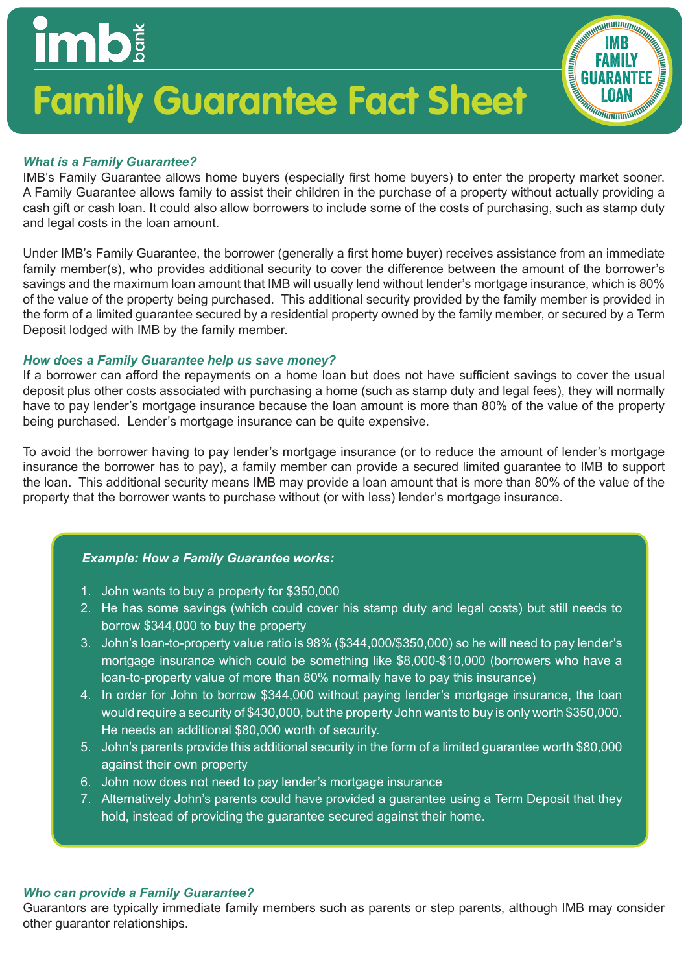## **Family Guarantee Fact Sheet**

#### *What is a Family Guarantee?*

**imb** 

IMB's Family Guarantee allows home buyers (especially first home buyers) to enter the property market sooner. A Family Guarantee allows family to assist their children in the purchase of a property without actually providing a cash gift or cash loan. It could also allow borrowers to include some of the costs of purchasing, such as stamp duty and legal costs in the loan amount.

IMB FAMILY **GUARANTEE** LOAN

Under IMB's Family Guarantee, the borrower (generally a first home buyer) receives assistance from an immediate family member(s), who provides additional security to cover the difference between the amount of the borrower's savings and the maximum loan amount that IMB will usually lend without lender's mortgage insurance, which is 80% of the value of the property being purchased. This additional security provided by the family member is provided in the form of a limited guarantee secured by a residential property owned by the family member, or secured by a Term Deposit lodged with IMB by the family member.

#### *How does a Family Guarantee help us save money?*

If a borrower can afford the repayments on a home loan but does not have sufficient savings to cover the usual deposit plus other costs associated with purchasing a home (such as stamp duty and legal fees), they will normally have to pay lender's mortgage insurance because the loan amount is more than 80% of the value of the property being purchased. Lender's mortgage insurance can be quite expensive.

To avoid the borrower having to pay lender's mortgage insurance (or to reduce the amount of lender's mortgage insurance the borrower has to pay), a family member can provide a secured limited guarantee to IMB to support the loan. This additional security means IMB may provide a loan amount that is more than 80% of the value of the property that the borrower wants to purchase without (or with less) lender's mortgage insurance.

#### *Example: How a Family Guarantee works:*

- 1. John wants to buy a property for \$350,000
- 2. He has some savings (which could cover his stamp duty and legal costs) but still needs to borrow \$344,000 to buy the property
- 3. John's loan-to-property value ratio is 98% (\$344,000/\$350,000) so he will need to pay lender's mortgage insurance which could be something like \$8,000-\$10,000 (borrowers who have a loan-to-property value of more than 80% normally have to pay this insurance)
- 4. In order for John to borrow \$344,000 without paying lender's mortgage insurance, the loan would require a security of \$430,000, but the property John wants to buy is only worth \$350,000. He needs an additional \$80,000 worth of security.
- 5. John's parents provide this additional security in the form of a limited guarantee worth \$80,000 against their own property
- 6. John now does not need to pay lender's mortgage insurance
- 7. Alternatively John's parents could have provided a guarantee using a Term Deposit that they hold, instead of providing the guarantee secured against their home.

#### *Who can provide a Family Guarantee?*

Guarantors are typically immediate family members such as parents or step parents, although IMB may consider other guarantor relationships.